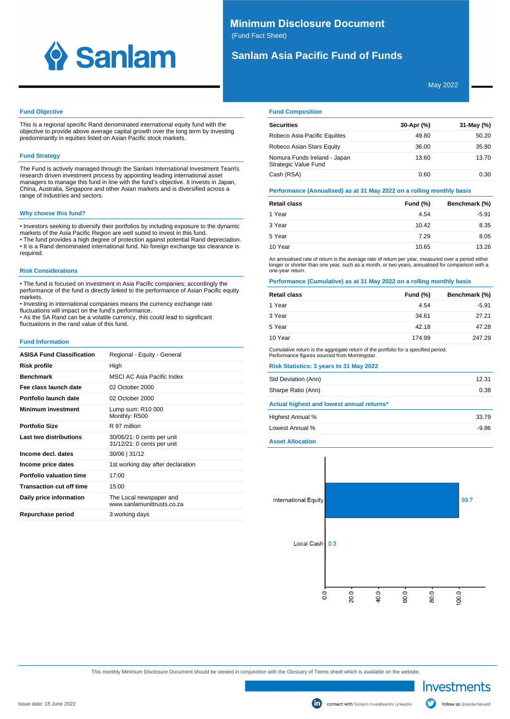

# **Minimum Disclosure Document** (Fund Fact Sheet)

# **Sanlam Asia Pacific Fund of Funds**

May 2022

## **Fund Objective**

This is a regional specific Rand denominated international equity fund with the objective to provide above average capital growth over the long term by investing predominantly in equities listed on Asian Pacific stock markets.

# **Fund Strategy**

The Fund is actively managed through the Sanlam International Investment Team's research driven investment process by appointing leading international asset managers to manage this fund in line with the fund's objective. It invests in Japan, China, Australia, Singapore and other Asian markets and is diversified across a range of industries and sectors.

### **Why choose this fund?**

• Investors seeking to diversify their portfolios by including exposure to the dynamic markets of the Asia Pacific Region are well suited to invest in this fund. • The fund provides a high degree of protection against potential Rand depreciation.

• It is a Rand denominated international fund. No foreign exchange tax clearance is required.

### **Risk Considerations**

• The fund is focused on investment in Asia Pacific companies; accordingly the performance of the fund is directly linked to the performance of Asian Pacific equity markets.

• Investing in international companies means the currency exchange rate fluctuations will impact on the fund's performance.

• As the SA Rand can be a volatile currency, this could lead to significant fluctuations in the rand value of this fund.

#### **Fund Information**

| <b>ASISA Fund Classification</b> | Regional - Equity - General                              |
|----------------------------------|----------------------------------------------------------|
| Risk profile                     | High                                                     |
| <b>Benchmark</b>                 | MSCI AC Asia Pacific Index                               |
| Fee class launch date            | 02 October 2000                                          |
| Portfolio launch date            | 02 October 2000                                          |
| <b>Minimum investment</b>        | Lump sum: R10 000<br>Monthly: R500                       |
| <b>Portfolio Size</b>            | R 97 million                                             |
| Last two distributions           | 30/06/21: 0 cents per unit<br>31/12/21: 0 cents per unit |
| Income decl. dates               | $30/06$   31/12                                          |
| Income price dates               | 1st working day after declaration                        |
| Portfolio valuation time         | 17:00                                                    |
| <b>Transaction cut off time</b>  | 15:00                                                    |
| Daily price information          | The Local newspaper and<br>www.sanlamunittrusts.co.za    |
| Repurchase period                | 3 working days                                           |

## **Fund Composition**

| <b>Securities</b>                                    | 30-Apr (%) | 31-May (%) |
|------------------------------------------------------|------------|------------|
| Robeco Asia-Pacific Equities                         | 49.80      | 50.20      |
| Robeco Asian Stars Equity                            | 36.00      | 35.80      |
| Nomura Funds Ireland - Japan<br>Strategic Value Fund | 13.60      | 13.70      |
| Cash (RSA)                                           | 0.60       | 0.30       |

**Performance (Annualised) as at 31 May 2022 on a rolling monthly basis**

| <b>Retail class</b> | Fund $(\%)$ | Benchmark (%) |
|---------------------|-------------|---------------|
| 1 Year              | 4.54        | $-5.91$       |
| 3 Year              | 10.42       | 8.35          |
| 5 Year              | 7.29        | 8.05          |
| 10 Year             | 10.65       | 13.26         |

An annualised rate of return is the average rate of return per year, measured over a period either longer or shorter than one year, such as a month, or two years, annualised for comparison with a one-year return.

# **Performance (Cumulative) as at 31 May 2022 on a rolling monthly basis**

| 1 Year<br>4.54<br>3 Year<br>34.61<br>5 Year<br>42.18 | Retail class | Fund (%) | Benchmark (%) |
|------------------------------------------------------|--------------|----------|---------------|
|                                                      |              |          | $-5.91$       |
|                                                      |              |          | 27.21         |
|                                                      |              |          | 47.28         |
|                                                      | 10 Year      | 174.99   | 247.29        |

Cumulative return is the aggregate return of the portfolio for a specified period. Performance figures sourced from Morningstar.

# **Risk Statistics: 3 years to 31 May 2022**

| Std Deviation (Ann)                       | 12.31   |
|-------------------------------------------|---------|
| Sharpe Ratio (Ann)                        | 0.38    |
| Actual highest and lowest annual returns* |         |
| Highest Annual %                          | 33.79   |
| Lowest Annual %                           | $-9.86$ |
| Accept Allenation                         |         |

# **Asset Allocation**



This monthly Minimum Disclosure Document should be viewed in conjunction with the Glossary of Terms sheet which is available on the website.

Investments

follow us @sanlaminvest